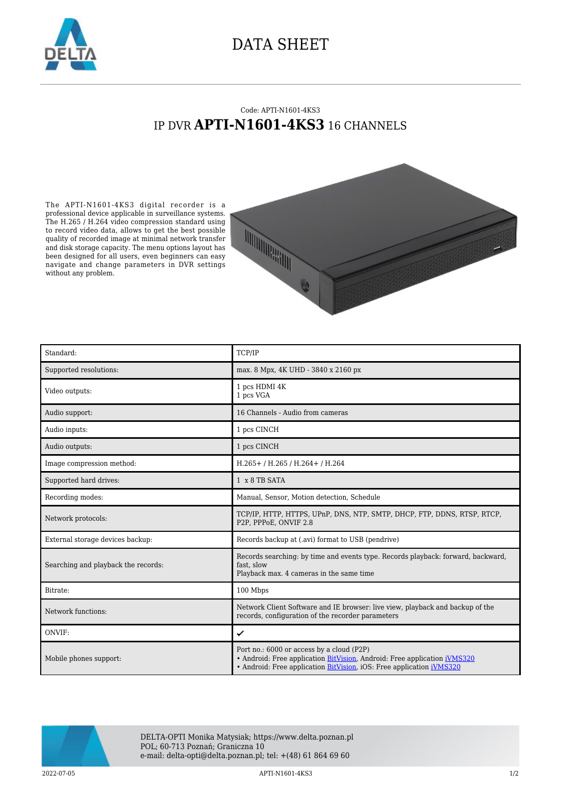

## DATA SHEET

## Code: APTI-N1601-4KS3 IP DVR **APTI-N1601-4KS3** 16 CHANNELS

The APTI-N1601-4KS3 digital recorder is a professional device applicable in surveillance systems. The H.265 / H.264 video compression standard using to record video data, allows to get the best possible quality of recorded image at minimal network transfer and disk storage capacity. The menu options layout has been designed for all users, even beginners can easy navigate and change parameters in DVR settings without any problem.



| Standard:                           | TCP/IP                                                                                                                                                                                        |
|-------------------------------------|-----------------------------------------------------------------------------------------------------------------------------------------------------------------------------------------------|
| Supported resolutions:              | max. 8 Mpx, 4K UHD - 3840 x 2160 px                                                                                                                                                           |
| Video outputs:                      | 1 pcs HDMI 4K<br>1 pcs VGA                                                                                                                                                                    |
| Audio support:                      | 16 Channels - Audio from cameras                                                                                                                                                              |
| Audio inputs:                       | 1 pcs CINCH                                                                                                                                                                                   |
| Audio outputs:                      | 1 pcs CINCH                                                                                                                                                                                   |
| Image compression method:           | $H.265+ / H.265 / H.264+ / H.264$                                                                                                                                                             |
| Supported hard drives:              | 1 x 8 TB SATA                                                                                                                                                                                 |
| Recording modes:                    | Manual, Sensor, Motion detection, Schedule                                                                                                                                                    |
| Network protocols:                  | TCP/IP, HTTP, HTTPS, UPnP, DNS, NTP, SMTP, DHCP, FTP, DDNS, RTSP, RTCP,<br>P2P, PPPoE, ONVIF 2.8                                                                                              |
| External storage devices backup:    | Records backup at (.avi) format to USB (pendrive)                                                                                                                                             |
| Searching and playback the records: | Records searching: by time and events type. Records playback: forward, backward,<br>fast, slow<br>Playback max. 4 cameras in the same time                                                    |
| Bitrate:                            | 100 Mbps                                                                                                                                                                                      |
| Network functions:                  | Network Client Software and IE browser: live view, playback and backup of the<br>records, configuration of the recorder parameters                                                            |
| ONVIF:                              | ✓                                                                                                                                                                                             |
| Mobile phones support:              | Port no.: 6000 or access by a cloud (P2P)<br>• Android: Free application BitVision, Android: Free application iVMS320<br>• Android: Free application BitVision, iOS: Free application iVMS320 |



DELTA-OPTI Monika Matysiak; https://www.delta.poznan.pl POL; 60-713 Poznań; Graniczna 10 e-mail: delta-opti@delta.poznan.pl; tel: +(48) 61 864 69 60